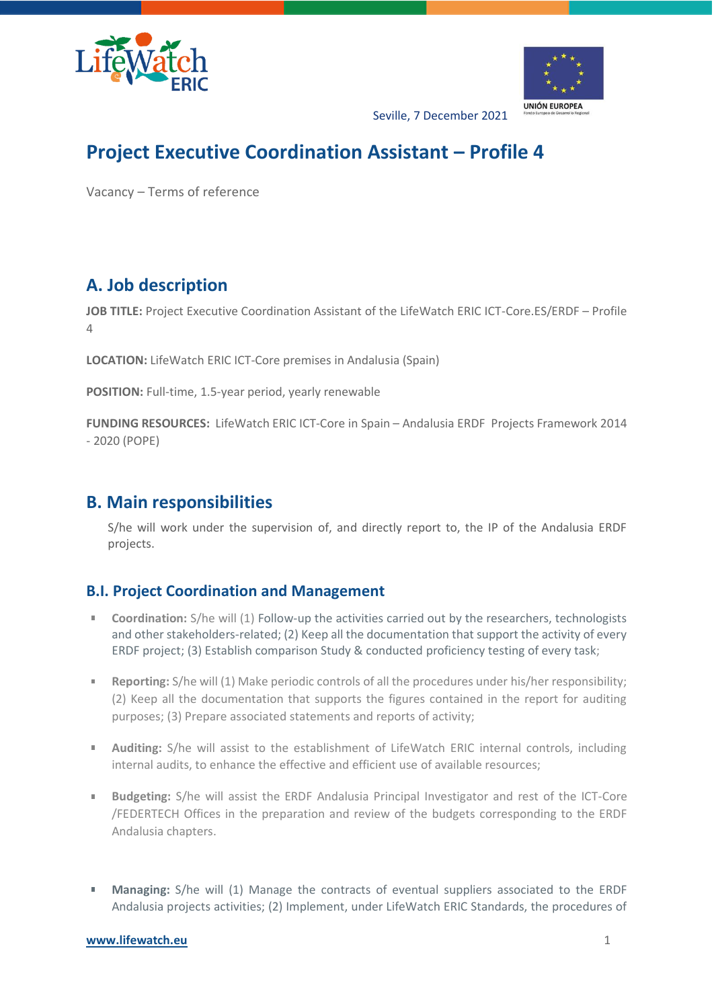



Seville, 7 December 2021

# **Project Executive Coordination Assistant – Profile 4**

Vacancy – Terms of reference

## **A. Job description**

**JOB TITLE:** Project Executive Coordination Assistant of the LifeWatch ERIC ICT-Core.ES/ERDF – Profile 4

**LOCATION:** LifeWatch ERIC ICT-Core premises in Andalusia (Spain)

**POSITION:** Full-time, 1.5-year period, yearly renewable

**FUNDING RESOURCES:** LifeWatch ERIC ICT-Core in Spain – Andalusia ERDF Projects Framework 2014 - 2020 (POPE)

### **B. Main responsibilities**

S/he will work under the supervision of, and directly report to, the IP of the Andalusia ERDF projects.

#### **B.I. Project Coordination and Management**

- **Coordination:** S/he will (1) Follow-up the activities carried out by the researchers, technologists  $\mathbb{R}^d$ and other stakeholders-related; (2) Keep all the documentation that support the activity of every ERDF project; (3) Establish comparison Study & conducted proficiency testing of every task;
- **College Reporting:** S/he will (1) Make periodic controls of all the procedures under his/her responsibility; (2) Keep all the documentation that supports the figures contained in the report for auditing purposes; (3) Prepare associated statements and reports of activity;
- **Auditing:** S/he will assist to the establishment of LifeWatch ERIC internal controls, including **College** internal audits, to enhance the effective and efficient use of available resources;
- $\mathbf{u}$ **Budgeting:** S/he will assist the ERDF Andalusia Principal Investigator and rest of the ICT-Core /FEDERTECH Offices in the preparation and review of the budgets corresponding to the ERDF Andalusia chapters.
- **Managing:** S/he will (1) Manage the contracts of eventual suppliers associated to the ERDF  $\blacksquare$ Andalusia projects activities; (2) Implement, under LifeWatch ERIC Standards, the procedures of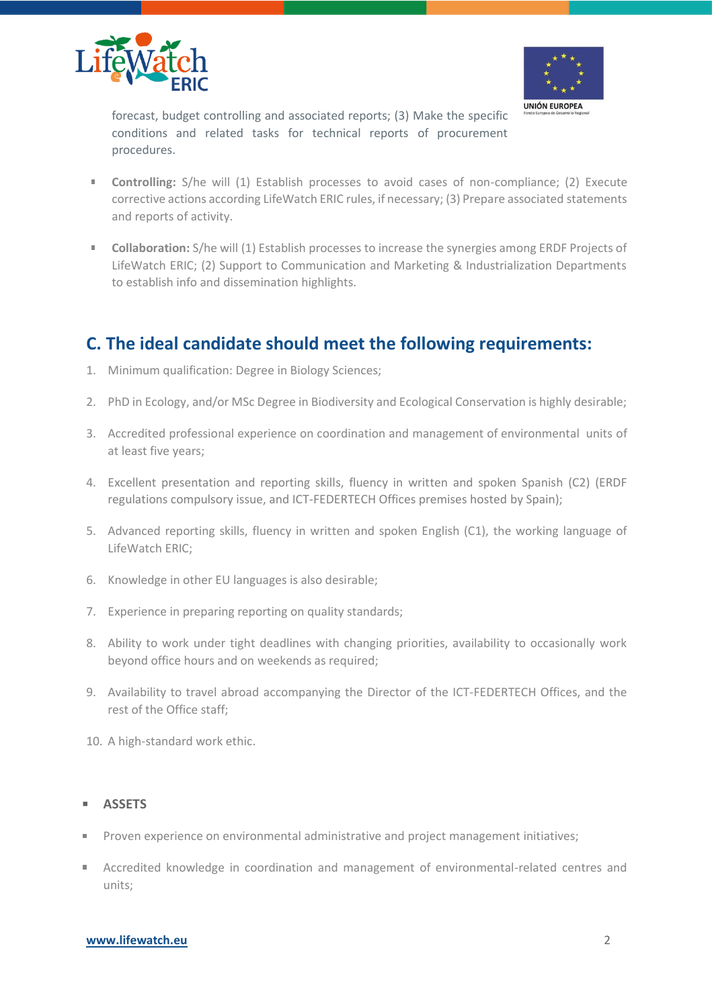



forecast, budget controlling and associated reports; (3) Make the specific conditions and related tasks for technical reports of procurement procedures.

- a co **Controlling:** S/he will (1) Establish processes to avoid cases of non-compliance; (2) Execute corrective actions according LifeWatch ERIC rules, if necessary; (3) Prepare associated statements and reports of activity.
- **Collaboration:** S/he will (1) Establish processes to increase the synergies among ERDF Projects of  $\mathbb{R}^{n\times n}$ LifeWatch ERIC; (2) Support to Communication and Marketing & Industrialization Departments to establish info and dissemination highlights.

### **C. The ideal candidate should meet the following requirements:**

- 1. Minimum qualification: Degree in Biology Sciences;
- 2. PhD in Ecology, and/or MSc Degree in Biodiversity and Ecological Conservation is highly desirable;
- 3. Accredited professional experience on coordination and management of environmental units of at least five years;
- 4. Excellent presentation and reporting skills, fluency in written and spoken Spanish (C2) (ERDF regulations compulsory issue, and ICT-FEDERTECH Offices premises hosted by Spain);
- 5. Advanced reporting skills, fluency in written and spoken English (C1), the working language of LifeWatch ERIC;
- 6. Knowledge in other EU languages is also desirable;
- 7. Experience in preparing reporting on quality standards;
- 8. Ability to work under tight deadlines with changing priorities, availability to occasionally work beyond office hours and on weekends as required;
- 9. Availability to travel abroad accompanying the Director of the ICT-FEDERTECH Offices, and the rest of the Office staff;
- 10. A high-standard work ethic.

#### **ASSETS**

- Proven experience on environmental administrative and project management initiatives;
- Accredited knowledge in coordination and management of environmental-related centres and units;